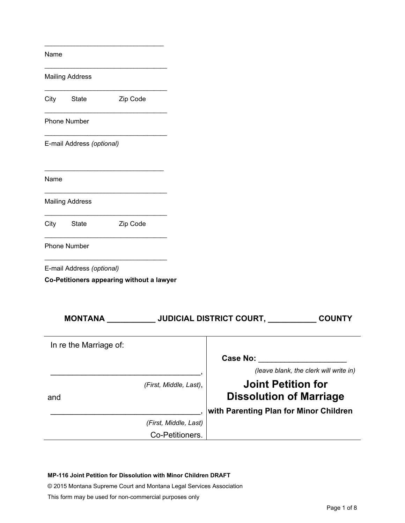| Name                                                                   |                                                                                                       |
|------------------------------------------------------------------------|-------------------------------------------------------------------------------------------------------|
| <b>Mailing Address</b>                                                 |                                                                                                       |
| Zip Code<br>City<br>State                                              |                                                                                                       |
| <b>Phone Number</b>                                                    |                                                                                                       |
| E-mail Address (optional)                                              |                                                                                                       |
| Name                                                                   |                                                                                                       |
| <b>Mailing Address</b>                                                 |                                                                                                       |
| City<br>State<br>Zip Code                                              |                                                                                                       |
| <b>Phone Number</b>                                                    |                                                                                                       |
| E-mail Address (optional)<br>Co-Petitioners appearing without a lawyer |                                                                                                       |
| MONTANA _____________JUDICIAL DISTRICT COURT, _________                | <b>COUNTY</b>                                                                                         |
| In re the Marriage of:                                                 |                                                                                                       |
|                                                                        | <b>Case No:</b><br>(leave blank, the clerk will write in)                                             |
| (First, Middle, Last),<br>and                                          | <b>Joint Petition for</b><br><b>Dissolution of Marriage</b><br>with Parenting Plan for Minor Children |
| (First, Middle, Last)                                                  |                                                                                                       |
| Co-Petitioners.                                                        |                                                                                                       |

**MP-116 Joint Petition for Dissolution with Minor Children DRAFT**

© 2015 Montana Supreme Court and Montana Legal Services Association

This form may be used for non-commercial purposes only

\_\_\_\_\_\_\_\_\_\_\_\_\_\_\_\_\_\_\_\_\_\_\_\_\_\_\_\_\_\_\_\_\_\_\_\_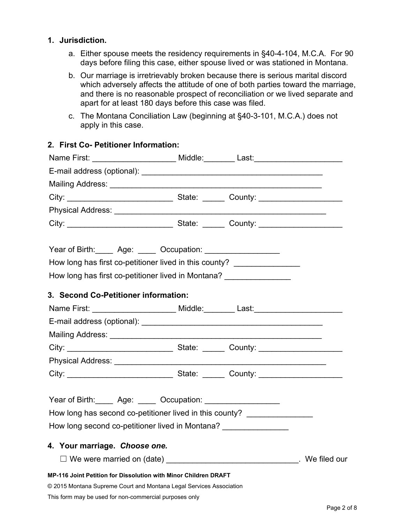### **1. Jurisdiction.**

- a. Either spouse meets the residency requirements in §40-4-104, M.C.A. For 90 days before filing this case, either spouse lived or was stationed in Montana.
- b. Our marriage is irretrievably broken because there is serious marital discord which adversely affects the attitude of one of both parties toward the marriage, and there is no reasonable prospect of reconciliation or we lived separate and apart for at least 180 days before this case was filed.
- c. The Montana Conciliation Law (beginning at §40-3-101, M.C.A.) does not apply in this case.

| 2. FIISL CO- FEULIONEL INIOHIIALION.<br>Name First: _______________________ Middle:________ Last:_______________________ |  |              |
|--------------------------------------------------------------------------------------------------------------------------|--|--------------|
|                                                                                                                          |  |              |
|                                                                                                                          |  |              |
|                                                                                                                          |  |              |
|                                                                                                                          |  |              |
|                                                                                                                          |  |              |
| Year of Birth: _____ Age: _____ Occupation: _________________                                                            |  |              |
| How long has first co-petitioner lived in this county? _______________                                                   |  |              |
| How long has first co-petitioner lived in Montana? ________________                                                      |  |              |
| 3. Second Co-Petitioner information:                                                                                     |  |              |
| Name First: ______________________ Middle:________ Last:________________________                                         |  |              |
|                                                                                                                          |  |              |
|                                                                                                                          |  |              |
|                                                                                                                          |  |              |
|                                                                                                                          |  |              |
|                                                                                                                          |  |              |
| Year of Birth: _____ Age: _____ Occupation: __________________                                                           |  |              |
| How long has second co-petitioner lived in this county? ________________                                                 |  |              |
| How long second co-petitioner lived in Montana? __________________                                                       |  |              |
| 4. Your marriage. Choose one.                                                                                            |  |              |
| $\Box$ We were married on (date)                                                                                         |  | We filed our |
| MP-116 Joint Petition for Dissolution with Minor Children DRAFT                                                          |  |              |
| © 2015 Montana Supreme Court and Montana Legal Services Association                                                      |  |              |
| This form may be used for non-commercial purposes only                                                                   |  |              |

### **2. First Co- Petitioner Information:**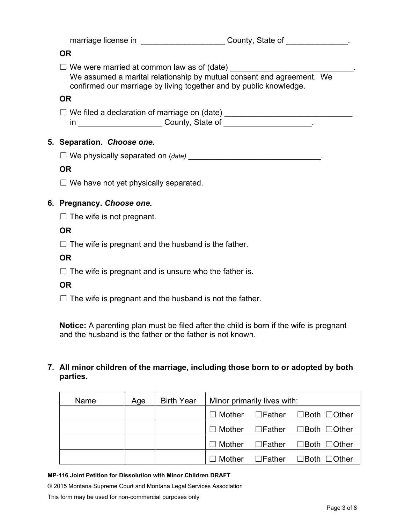| marriage license in | County, State of |  |
|---------------------|------------------|--|
|---------------------|------------------|--|

### **OR**

 $\Box$  We were married at common law as of (date)  $\Box$ 

We assumed a marital relationship by mutual consent and agreement. We confirmed our marriage by living together and by public knowledge.

# **OR**

| $\Box$ We filed a declaration of marriage on (date) |  |
|-----------------------------------------------------|--|
| County, State of                                    |  |

# **5. Separation.** *Choose one.*

☐ We physically separated on (*date)* \_\_\_\_\_\_\_\_\_\_\_\_\_\_\_\_\_\_\_\_\_\_\_\_\_\_\_\_\_\_.

# **OR**

 $\Box$  We have not yet physically separated.

# **6. Pregnancy.** *Choose one.*

 $\Box$  The wife is not pregnant.

# **OR**

 $\Box$  The wife is pregnant and the husband is the father.

# **OR**

 $\Box$  The wife is pregnant and is unsure who the father is.

# **OR**

 $\Box$  The wife is pregnant and the husband is not the father.

**Notice:** A parenting plan must be filed after the child is born if the wife is pregnant and the husband is the father or the father is not known.

# **7. All minor children of the marriage, including those born to or adopted by both parties.**

| Name | Age | <b>Birth Year</b> | Minor primarily lives with: |                                                                  |
|------|-----|-------------------|-----------------------------|------------------------------------------------------------------|
|      |     |                   |                             | $\Box$ Mother $\Box$ Father $\Box$ Both $\Box$ Other             |
|      |     |                   |                             | $\Box$ Mother $\Box$ Father $\Box$ Both $\Box$ Other             |
|      |     |                   |                             | $\Box$ Mother $\Box$ Father $\Box$ Both $\Box$ Other             |
|      |     |                   |                             | $\Box$ Mother $\quad \Box$ Father $\quad \Box$ Both $\Box$ Other |

#### **MP-116 Joint Petition for Dissolution with Minor Children DRAFT**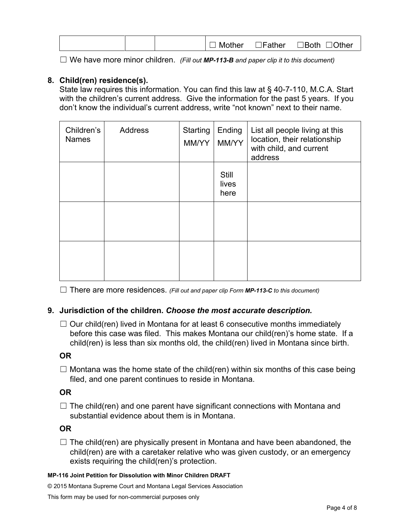|--|

☐ We have more minor children. *(Fill out MP-113-B and paper clip it to this document)*

# **8. Child(ren) residence(s).**

State law requires this information. You can find this law at § 40-7-110, M.C.A. Start with the children's current address. Give the information for the past 5 years. If you don't know the individual's current address, write "not known" next to their name.

| Children's<br><b>Names</b> | <b>Address</b> | <b>Starting</b><br>MM/YY | Ending<br>MM/YY        | List all people living at this<br>location, their relationship<br>with child, and current<br>address |
|----------------------------|----------------|--------------------------|------------------------|------------------------------------------------------------------------------------------------------|
|                            |                |                          | Still<br>lives<br>here |                                                                                                      |
|                            |                |                          |                        |                                                                                                      |
|                            |                |                          |                        |                                                                                                      |

☐ There are more residences. *(Fill out and paper clip Form MP-113-C to this document)*

### **9. Jurisdiction of the children.** *Choose the most accurate description.*

 $\Box$  Our child(ren) lived in Montana for at least 6 consecutive months immediately before this case was filed. This makes Montana our child(ren)'s home state. If a child(ren) is less than six months old, the child(ren) lived in Montana since birth.

### **OR**

 $\Box$  Montana was the home state of the child(ren) within six months of this case being filed, and one parent continues to reside in Montana.

# **OR**

 $\Box$  The child(ren) and one parent have significant connections with Montana and substantial evidence about them is in Montana.

### **OR**

 $\Box$  The child(ren) are physically present in Montana and have been abandoned, the child(ren) are with a caretaker relative who was given custody, or an emergency exists requiring the child(ren)'s protection.

#### **MP-116 Joint Petition for Dissolution with Minor Children DRAFT**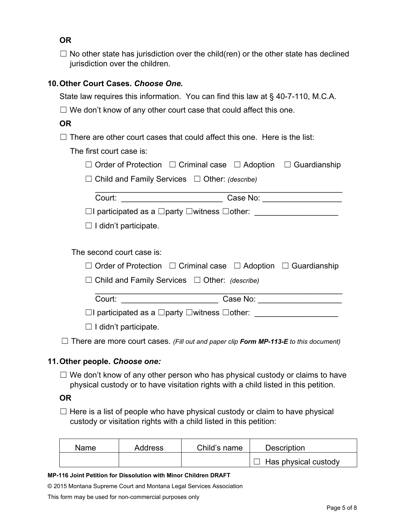**OR**

 $\Box$  No other state has jurisdiction over the child(ren) or the other state has declined jurisdiction over the children.

# **10.Other Court Cases.** *Choose One.*

State law requires this information. You can find this law at § 40-7-110, M.C.A.

 $\Box$  We don't know of any other court case that could affect this one.

# **OR**

 $\Box$  There are other court cases that could affect this one. Here is the list:

The first court case is:

|  | $\Box$ Order of Protection $\Box$ Criminal case $\Box$ Adoption $\Box$ Guardianship |  |  |  |
|--|-------------------------------------------------------------------------------------|--|--|--|
|--|-------------------------------------------------------------------------------------|--|--|--|

☐ Child and Family Services ☐ Other: *(describe)*

| Court: | Case No:                                                             |  |
|--------|----------------------------------------------------------------------|--|
|        | $\Box$ I participated as a $\Box$ party $\Box$ witness $\Box$ other: |  |

 $\Box$  I didn't participate.

The second court case is:

| $\Box$ Order of Protection $\Box$ Criminal case $\Box$ Adoption $\Box$ Guardianship                                                                                                                                                       |  |  |  |  |  |  |
|-------------------------------------------------------------------------------------------------------------------------------------------------------------------------------------------------------------------------------------------|--|--|--|--|--|--|
| $\Box$ Child and Family Services $\Box$ Other: (describe)                                                                                                                                                                                 |  |  |  |  |  |  |
| Court: with the country of the country of the country of the country of the country of the country of the country of the country of the country of the country of the country of the country of the country of the country of<br>Case No: |  |  |  |  |  |  |
| $\Box$ I participated as a $\Box$ party $\Box$ witness $\Box$ other:                                                                                                                                                                      |  |  |  |  |  |  |

 $\Box$  I didn't participate.

☐ There are more court cases. *(Fill out and paper clip Form MP-113-E to this document)*

# **11.Other people.** *Choose one:*

 $\Box$  We don't know of any other person who has physical custody or claims to have physical custody or to have visitation rights with a child listed in this petition.

**OR**

 $\Box$  Here is a list of people who have physical custody or claim to have physical custody or visitation rights with a child listed in this petition:

| <b>Name</b> | Address | Child's name | <b>Description</b>   |
|-------------|---------|--------------|----------------------|
|             |         |              | Has physical custody |

#### **MP-116 Joint Petition for Dissolution with Minor Children DRAFT**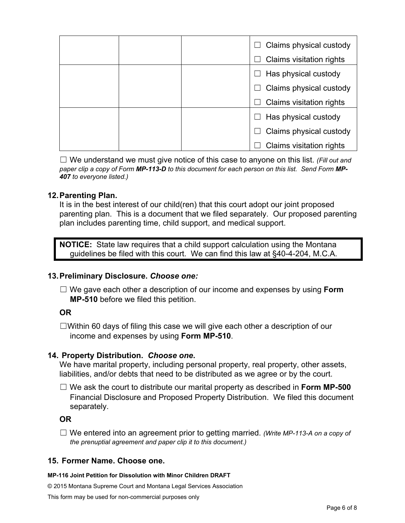|  | Claims physical custody         |
|--|---------------------------------|
|  |                                 |
|  | <b>Claims visitation rights</b> |
|  | Has physical custody            |
|  | Claims physical custody         |
|  | Claims visitation rights        |
|  | Has physical custody            |
|  | Claims physical custody         |
|  | <b>Claims visitation rights</b> |

☐ We understand we must give notice of this case to anyone on this list. *(Fill out and paper clip a copy of Form MP-113-D to this document for each person on this list. Send Form MP-407 to everyone listed.)*

### **12.Parenting Plan.**

It is in the best interest of our child(ren) that this court adopt our joint proposed parenting plan. This is a document that we filed separately. Our proposed parenting plan includes parenting time, child support, and medical support.

**NOTICE:** State law requires that a child support calculation using the Montana guidelines be filed with this court. We can find this law at §40-4-204, M.C.A.

### **13.Preliminary Disclosure.** *Choose one:*

☐ We gave each other a description of our income and expenses by using **Form MP-510** before we filed this petition.

### **OR**

☐Within 60 days of filing this case we will give each other a description of our income and expenses by using **Form MP-510**.

### **14. Property Distribution.** *Choose one***.**

We have marital property, including personal property, real property, other assets, liabilities, and/or debts that need to be distributed as we agree or by the court.

☐ We ask the court to distribute our marital property as described in **Form MP-500** Financial Disclosure and Proposed Property Distribution. We filed this document separately.

### **OR**

☐ We entered into an agreement prior to getting married. *(Write MP-113-A on a copy of the prenuptial agreement and paper clip it to this document.)*

#### **15. Former Name. Choose one.**

#### **MP-116 Joint Petition for Dissolution with Minor Children DRAFT**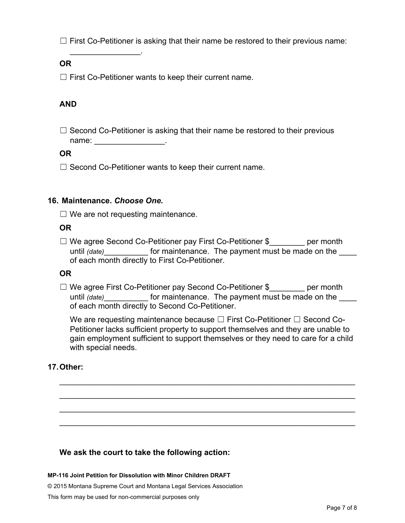$\Box$  First Co-Petitioner is asking that their name be restored to their previous name:

### **OR**

 $\Box$  First Co-Petitioner wants to keep their current name.

# **AND**

 $\Box$  Second Co-Petitioner is asking that their name be restored to their previous name: \_\_\_\_\_\_\_\_\_\_\_\_\_\_\_\_.

### **OR**

 $\Box$  Second Co-Petitioner wants to keep their current name.

### **16. Maintenance.** *Choose One.*

\_\_\_\_\_\_\_\_\_\_\_\_\_\_\_\_.

 $\Box$  We are not requesting maintenance.

### **OR**

□ We agree Second Co-Petitioner pay First Co-Petitioner \$ per month until *(date)* for maintenance. The payment must be made on the of each month directly to First Co-Petitioner.

### **OR**

□ We agree First Co-Petitioner pay Second Co-Petitioner \$ per month until *(date)* for maintenance. The payment must be made on the of each month directly to Second Co-Petitioner.

We are requesting maintenance because  $\Box$  First Co-Petitioner  $\Box$  Second Co-Petitioner lacks sufficient property to support themselves and they are unable to gain employment sufficient to support themselves or they need to care for a child with special needs.

\_\_\_\_\_\_\_\_\_\_\_\_\_\_\_\_\_\_\_\_\_\_\_\_\_\_\_\_\_\_\_\_\_\_\_\_\_\_\_\_\_\_\_\_\_\_\_\_\_\_\_\_\_\_\_\_\_\_\_\_\_\_\_\_\_\_\_

\_\_\_\_\_\_\_\_\_\_\_\_\_\_\_\_\_\_\_\_\_\_\_\_\_\_\_\_\_\_\_\_\_\_\_\_\_\_\_\_\_\_\_\_\_\_\_\_\_\_\_\_\_\_\_\_\_\_\_\_\_\_\_\_\_\_\_

\_\_\_\_\_\_\_\_\_\_\_\_\_\_\_\_\_\_\_\_\_\_\_\_\_\_\_\_\_\_\_\_\_\_\_\_\_\_\_\_\_\_\_\_\_\_\_\_\_\_\_\_\_\_\_\_\_\_\_\_\_\_\_\_\_\_\_

\_\_\_\_\_\_\_\_\_\_\_\_\_\_\_\_\_\_\_\_\_\_\_\_\_\_\_\_\_\_\_\_\_\_\_\_\_\_\_\_\_\_\_\_\_\_\_\_\_\_\_\_\_\_\_\_\_\_\_\_\_\_\_\_\_\_\_

### **17.Other:**

### **We ask the court to take the following action:**

#### **MP-116 Joint Petition for Dissolution with Minor Children DRAFT**